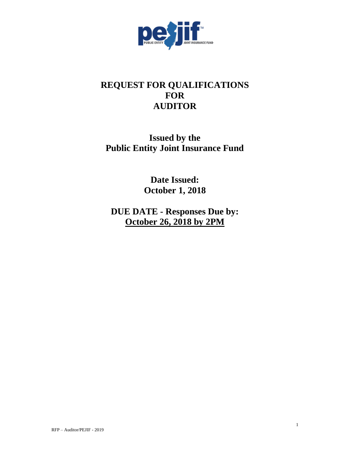

# **REQUEST FOR QUALIFICATIONS FOR AUDITOR**

# **Issued by the Public Entity Joint Insurance Fund**

**Date Issued: October 1, 2018**

**DUE DATE - Responses Due by: October 26, 2018 by 2PM**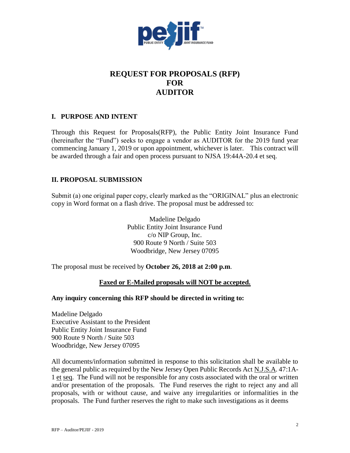

## **REQUEST FOR PROPOSALS (RFP) FOR AUDITOR**

## **I. PURPOSE AND INTENT**

Through this Request for Proposals(RFP), the Public Entity Joint Insurance Fund (hereinafter the "Fund") seeks to engage a vendor as AUDITOR for the 2019 fund year commencing January 1, 2019 or upon appointment, whichever is later. This contract will be awarded through a fair and open process pursuant to NJSA 19:44A-20.4 et seq.

## **II. PROPOSAL SUBMISSION**

Submit (a) one original paper copy, clearly marked as the "ORIGINAL" plus an electronic copy in Word format on a flash drive. The proposal must be addressed to:

> Madeline Delgado Public Entity Joint Insurance Fund c/o NIP Group, Inc. 900 Route 9 North / Suite 503 Woodbridge, New Jersey 07095

The proposal must be received by **October 26, 2018 at 2:00 p.m**.

## **Faxed or E-Mailed proposals will NOT be accepted.**

#### **Any inquiry concerning this RFP should be directed in writing to:**

Madeline Delgado Executive Assistant to the President Public Entity Joint Insurance Fund 900 Route 9 North / Suite 503 Woodbridge, New Jersey 07095

All documents/information submitted in response to this solicitation shall be available to the general public as required by the New Jersey Open Public Records Act N.J.S.A. 47:1A-1 et seq. The Fund will not be responsible for any costs associated with the oral or written and/or presentation of the proposals. The Fund reserves the right to reject any and all proposals, with or without cause, and waive any irregularities or informalities in the proposals. The Fund further reserves the right to make such investigations as it deems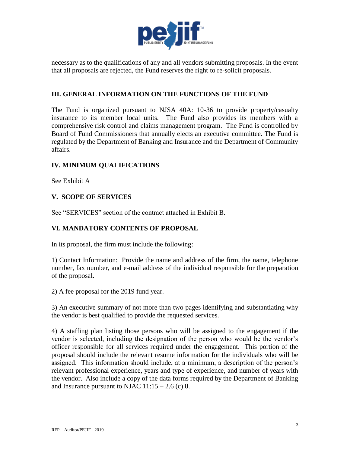

necessary as to the qualifications of any and all vendors submitting proposals. In the event that all proposals are rejected, the Fund reserves the right to re-solicit proposals.

## **III. GENERAL INFORMATION ON THE FUNCTIONS OF THE FUND**

The Fund is organized pursuant to NJSA 40A: 10-36 to provide property/casualty insurance to its member local units. The Fund also provides its members with a comprehensive risk control and claims management program. The Fund is controlled by Board of Fund Commissioners that annually elects an executive committee. The Fund is regulated by the Department of Banking and Insurance and the Department of Community affairs.

## **IV. MINIMUM QUALIFICATIONS**

See Exhibit A

## **V. SCOPE OF SERVICES**

See "SERVICES" section of the contract attached in Exhibit B.

## **VI. MANDATORY CONTENTS OF PROPOSAL**

In its proposal, the firm must include the following:

1) Contact Information: Provide the name and address of the firm, the name, telephone number, fax number, and e-mail address of the individual responsible for the preparation of the proposal.

2) A fee proposal for the 2019 fund year.

3) An executive summary of not more than two pages identifying and substantiating why the vendor is best qualified to provide the requested services.

4) A staffing plan listing those persons who will be assigned to the engagement if the vendor is selected, including the designation of the person who would be the vendor's officer responsible for all services required under the engagement. This portion of the proposal should include the relevant resume information for the individuals who will be assigned. This information should include, at a minimum, a description of the person's relevant professional experience, years and type of experience, and number of years with the vendor. Also include a copy of the data forms required by the Department of Banking and Insurance pursuant to NJAC  $11:15 - 2.6$  (c) 8.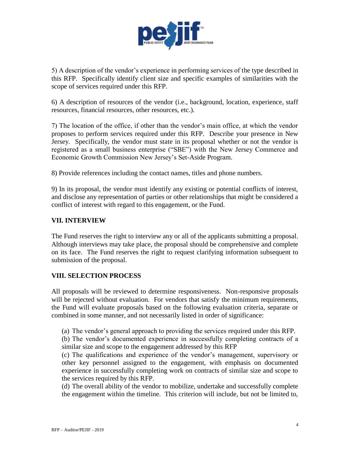

5) A description of the vendor's experience in performing services of the type described in this RFP. Specifically identify client size and specific examples of similarities with the scope of services required under this RFP.

6) A description of resources of the vendor (i.e., background, location, experience, staff resources, financial resources, other resources, etc.).

7) The location of the office, if other than the vendor's main office, at which the vendor proposes to perform services required under this RFP. Describe your presence in New Jersey. Specifically, the vendor must state in its proposal whether or not the vendor is registered as a small business enterprise ("SBE") with the New Jersey Commerce and Economic Growth Commission New Jersey's Set-Aside Program.

8) Provide references including the contact names, titles and phone numbers.

9) In its proposal, the vendor must identify any existing or potential conflicts of interest, and disclose any representation of parties or other relationships that might be considered a conflict of interest with regard to this engagement, or the Fund.

## **VII. INTERVIEW**

The Fund reserves the right to interview any or all of the applicants submitting a proposal. Although interviews may take place, the proposal should be comprehensive and complete on its face. The Fund reserves the right to request clarifying information subsequent to submission of the proposal.

#### **VIII. SELECTION PROCESS**

All proposals will be reviewed to determine responsiveness. Non-responsive proposals will be rejected without evaluation. For vendors that satisfy the minimum requirements, the Fund will evaluate proposals based on the following evaluation criteria, separate or combined in some manner, and not necessarily listed in order of significance:

(a) The vendor's general approach to providing the services required under this RFP.

(b) The vendor's documented experience in successfully completing contracts of a similar size and scope to the engagement addressed by this RFP

(c) The qualifications and experience of the vendor's management, supervisory or other key personnel assigned to the engagement, with emphasis on documented experience in successfully completing work on contracts of similar size and scope to the services required by this RFP.

(d) The overall ability of the vendor to mobilize, undertake and successfully complete the engagement within the timeline. This criterion will include, but not be limited to,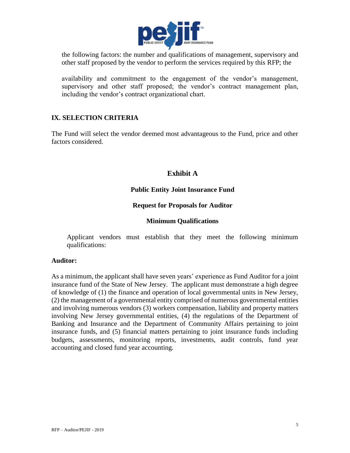

the following factors: the number and qualifications of management, supervisory and other staff proposed by the vendor to perform the services required by this RFP; the

availability and commitment to the engagement of the vendor's management, supervisory and other staff proposed; the vendor's contract management plan, including the vendor's contract organizational chart.

#### **IX. SELECTION CRITERIA**

The Fund will select the vendor deemed most advantageous to the Fund, price and other factors considered.

## **Exhibit A**

## **Public Entity Joint Insurance Fund**

#### **Request for Proposals for Auditor**

#### **Minimum Qualifications**

Applicant vendors must establish that they meet the following minimum qualifications:

#### **Auditor:**

As a minimum, the applicant shall have seven years' experience as Fund Auditor for a joint insurance fund of the State of New Jersey. The applicant must demonstrate a high degree of knowledge of (1) the finance and operation of local governmental units in New Jersey, (2) the management of a governmental entity comprised of numerous governmental entities and involving numerous vendors (3) workers compensation, liability and property matters involving New Jersey governmental entities, (4) the regulations of the Department of Banking and Insurance and the Department of Community Affairs pertaining to joint insurance funds, and (5) financial matters pertaining to joint insurance funds including budgets, assessments, monitoring reports, investments, audit controls, fund year accounting and closed fund year accounting.